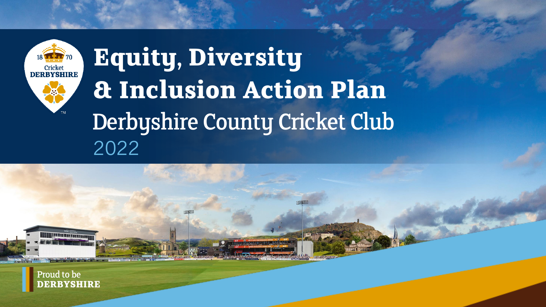

## **Equity, Diversity & Inclusion Action Plan** Derbyshire County Cricket Club 2022



Proud to be **DERBYSHIRE**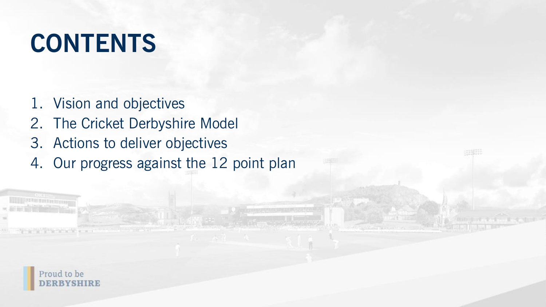### **CONTENTS**

1. Vision and objectives 2. The Cricket Derbyshire Model 3. Actions to deliver objectives 4. Our progress against the 12 point plan

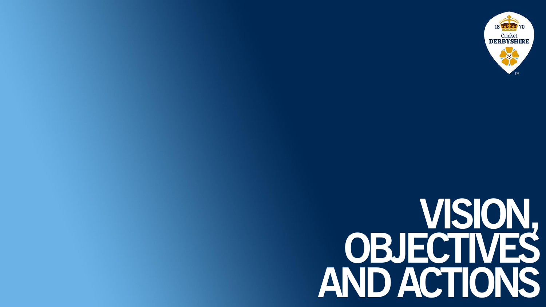

# **VISION, OBJECTIVES AND ACTIONS**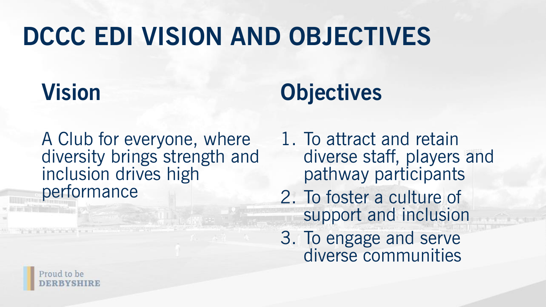### **DCCC EDI VISION AND OBJECTIVES**

### **Vision**

A Club for everyone, where diversity brings strength and inclusion drives high performance

### **Objectives**

- 1. To attract and retain diverse staff, players and pathway participants
- 2. To foster a culture of support and inclusion
- 3. To engage and serve diverse communities

Proud to be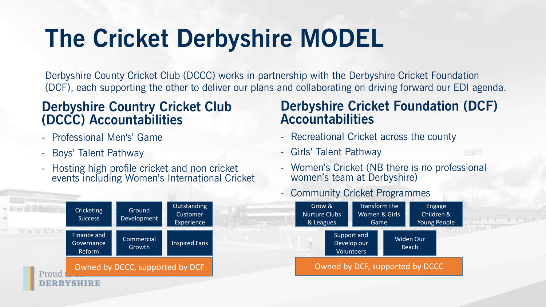## **The Cricket Derbyshire MODEL**

Derbyshire County Cricket Club (DCCC) works in partnership with the Derbyshire Cricket Foundation (DCF), each supporting the other to deliver our plans and collaborating on driving forward our EDI agenda.

#### **Derbyshire Country Cricket Club (DCCC) Accountabilities**

- Professional Men's' Game
- Boys' Talent Pathway
- Hosting high profile cricket and non cricket events including Women's International Cricket



#### **Derbyshire Cricket Foundation (DCF) Accountabilities**

- Recreational Cricket across the county
- Girls' Talent Pathway
- 
- Women's Cricket (NB there is no professional women's team at Derbyshire)
- Community Cricket Programmes

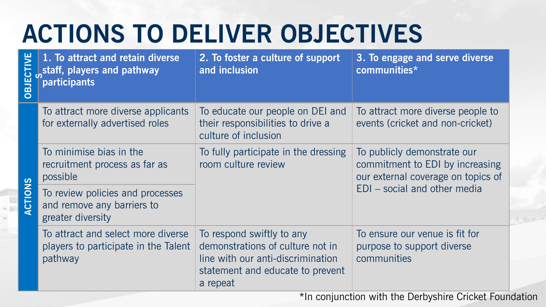### **ACTIONS TO DELIVER OBJECTIVES**

| <b>DBJECTIVE</b> | 1. To attract and retain diverse<br>staff, players and pathway<br><i>participants</i> | 2. To foster a culture of support<br>and inclusion                                                                                                 | 3. To engage and serve diverse<br>communities*                                                                                       |
|------------------|---------------------------------------------------------------------------------------|----------------------------------------------------------------------------------------------------------------------------------------------------|--------------------------------------------------------------------------------------------------------------------------------------|
| <b>ACTIONS</b>   | To attract more diverse applicants<br>for externally advertised roles                 | To educate our people on DEI and<br>their responsibilities to drive a<br>culture of inclusion                                                      | To attract more diverse people to<br>events (cricket and non-cricket)                                                                |
|                  | To minimise bias in the<br>recruitment process as far as<br>possible                  | To fully participate in the dressing<br>room culture review                                                                                        | To publicly demonstrate our<br>commitment to EDI by increasing<br>our external coverage on topics of<br>EDI - social and other media |
|                  | To review policies and processes<br>and remove any barriers to<br>greater diversity   |                                                                                                                                                    |                                                                                                                                      |
|                  | To attract and select more diverse<br>players to participate in the Talent<br>pathway | To respond swiftly to any<br>demonstrations of culture not in<br>line with our anti-discrimination<br>statement and educate to prevent<br>a repeat | To ensure our venue is fit for<br>purpose to support diverse<br>communities                                                          |

\*In conjunction with the Derbyshire Cricket Foundation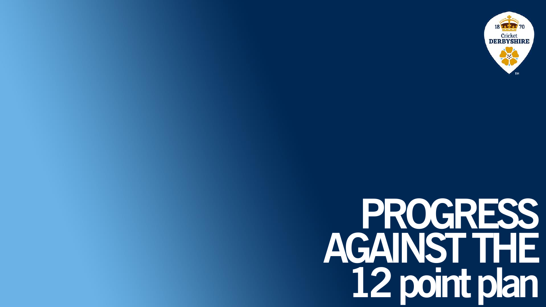

# **PROGRESS AGAINST THE 12 point plan**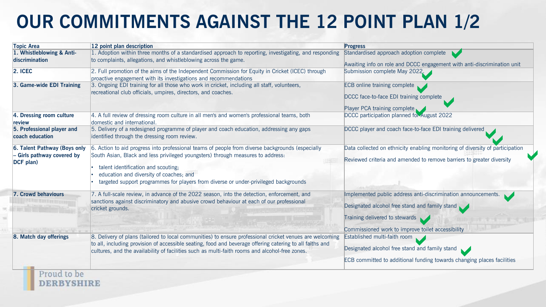### **OUR COMMITMENTS AGAINST THE 12 POINT PLAN 1/2**

| <b>Topic Area</b>                                                              | 12 point plan description                                                                                                                                                                                                                                                                                                                                     | <b>Progress</b>                                                                                                                                                                                        |
|--------------------------------------------------------------------------------|---------------------------------------------------------------------------------------------------------------------------------------------------------------------------------------------------------------------------------------------------------------------------------------------------------------------------------------------------------------|--------------------------------------------------------------------------------------------------------------------------------------------------------------------------------------------------------|
| 1. Whistleblowing & Anti-<br>discrimination                                    | 1. Adoption within three months of a standardised approach to reporting, investigating, and responding                                                                                                                                                                                                                                                        | Standardised approach adoption complete                                                                                                                                                                |
|                                                                                | to complaints, allegations, and whistleblowing across the game.                                                                                                                                                                                                                                                                                               | Awaiting info on role and DCCC engagement with anti-discrimination unit                                                                                                                                |
| $2.$ ICEC                                                                      | 2. Full promotion of the aims of the Independent Commission for Equity in Cricket (ICEC) through<br>proactive engagement with its investigations and recommendations                                                                                                                                                                                          | Submission complete May 2022.                                                                                                                                                                          |
| 3. Game-wide EDI Training                                                      | 3. Ongoing EDI training for all those who work in cricket, including all staff, volunteers,<br>recreational club officials, umpires, directors, and coaches.                                                                                                                                                                                                  | ECB online training complete                                                                                                                                                                           |
|                                                                                |                                                                                                                                                                                                                                                                                                                                                               | DCCC face-to-face EDI training complete<br>Player PCA training complete                                                                                                                                |
| 4. Dressing room culture<br><b>review</b>                                      | 4. A full review of dressing room culture in all men's and women's professional teams, both<br>domestic and international.                                                                                                                                                                                                                                    | DCCC participation planned for August 2022                                                                                                                                                             |
| 5. Professional player and<br>coach education                                  | 5. Delivery of a redesigned programme of player and coach education, addressing any gaps<br>identified through the dressing room review.                                                                                                                                                                                                                      | DCCC player and coach face-to-face EDI training delivered                                                                                                                                              |
| 6. Talent Pathway (Boys only<br>- Girls pathway covered by<br><b>DCF</b> plan) | 6. Action to aid progress into professional teams of people from diverse backgrounds (especially<br>South Asian, Black and less privileged youngsters) through measures to address:<br>talent identification and scouting;<br>education and diversity of coaches; and<br>targeted support programmes for players from diverse or under-privileged backgrounds | Data collected on ethnicity enabling monitoring of diversity of participation<br>Reviewed criteria and amended to remove barriers to greater diversity                                                 |
| 7. Crowd behaviours                                                            | 7. A full-scale review, in advance of the 2022 season, into the detection, enforcement, and<br>sanctions against discriminatory and abusive crowd behaviour at each of our professional<br>cricket grounds.                                                                                                                                                   | Implemented public address anti-discrimination announcements.<br>Designated alcohol free stand and family stand<br>Training delivered to stewards<br>Commissioned work to improve toilet accessibility |
| 8. Match day offerings                                                         | 8. Delivery of plans (tailored to local communities) to ensure professional cricket venues are welcoming<br>to all, including provision of accessible seating, food and beverage offering catering to all faiths and<br>cultures, and the availability of facilities such as multi-faith rooms and alcohol-free zones.                                        | Established multi-faith room<br>Designated alcohol free stand and family stand<br>ECB committed to additional funding towards changing places facilities                                               |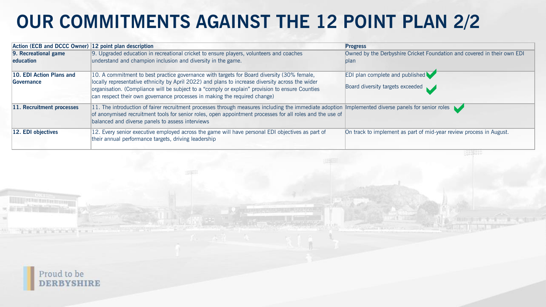### **OUR COMMITMENTS AGAINST THE 12 POINT PLAN 2/2**

| Action (ECB and DCCC Owner) 12 point plan description |                                                                                                                                                                                                                                                                                                                                                                                | <b>Progress</b>                                                                 |
|-------------------------------------------------------|--------------------------------------------------------------------------------------------------------------------------------------------------------------------------------------------------------------------------------------------------------------------------------------------------------------------------------------------------------------------------------|---------------------------------------------------------------------------------|
| 9. Recreational game<br>education                     | 9. Upgraded education in recreational cricket to ensure players, volunteers and coaches<br>understand and champion inclusion and diversity in the game.                                                                                                                                                                                                                        | Owned by the Derbyshire Cricket Foundation and covered in their own EDI<br>plan |
| 10. EDI Action Plans and<br><b>Governance</b>         | 10. A commitment to best practice governance with targets for Board diversity (30% female,<br>locally representative ethnicity by April 2022) and plans to increase diversity across the wider<br>organisation. (Compliance will be subject to a "comply or explain" provision to ensure Counties<br>can respect their own governance processes in making the required change) | EDI plan complete and published<br>Board diversity targets exceeded             |
| 11. Recruitment processes                             | 11. The introduction of fairer recruitment processes through measures including the immediate adoption Implemented diverse panels for senior roles<br>of anonymised recruitment tools for senior roles, open appointment processes for all roles and the use of<br>balanced and diverse panels to assess interviews                                                            |                                                                                 |
| 12. EDI objectives                                    | 12. Every senior executive employed across the game will have personal EDI objectives as part of<br>their annual performance targets, driving leadership                                                                                                                                                                                                                       | On track to implement as part of mid-year review process in August.             |



tematikan